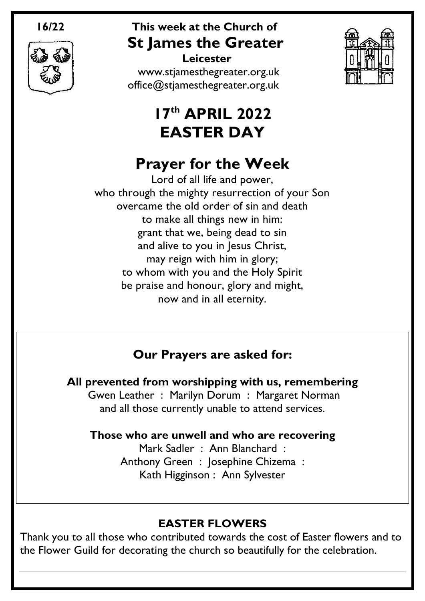

## **16/22 This week at the Church of St James the Greater**

 **Leicester** [www.stjamesthegreater.org.uk](http://www.stjamesthegreater.org.uk/) [office@stjamesthegreater.org.uk](mailto:office@stjamesthegreater.org.uk)

# **17 th APRIL 2022 EASTER DAY**

# **Prayer for the Week**

Lord of all life and power, who through the mighty resurrection of your Son overcame the old order of sin and death to make all things new in him: grant that we, being dead to sin and alive to you in Jesus Christ, may reign with him in glory; to whom with you and the Holy Spirit be praise and honour, glory and might, now and in all eternity.

## **Our Prayers are asked for:**

**All prevented from worshipping with us, remembering** Gwen Leather : Marilyn Dorum : Margaret Norman and all those currently unable to attend services.

**Those who are unwell and who are recovering**

Mark Sadler : Ann Blanchard : Anthony Green : Josephine Chizema : Kath Higginson : Ann Sylvester

## **EASTER FLOWERS**

Thank you to all those who contributed towards the cost of Easter flowers and to the Flower Guild for decorating the church so beautifully for the celebration.

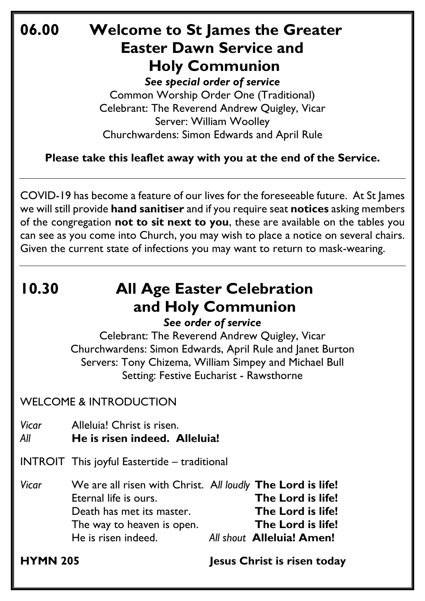## **06.00 Welcome to St James the Greater Easter Dawn Service and Holy Communion**

*See special order of service* Common Worship Order One (Traditional) Celebrant: The Reverend Andrew Quigley, Vicar Server: William Woolley Churchwardens: Simon Edwards and April Rule

**Please take this leaflet away with you at the end of the Service.**

COVID-19 has become a feature of our lives for the foreseeable future. At St James we will still provide **hand sanitiser** and if you require seat **notices** asking members of the congregation **not to sit next to you**, these are available on the tables you can see as you come into Church, you may wish to place a notice on several chairs. Given the current state of infections you may want to return to mask-wearing.

# **10.30 All Age Easter Celebration and Holy Communion**

## *See order of service*

Celebrant: The Reverend Andrew Quigley, Vicar Churchwardens: Simon Edwards, April Rule and Janet Burton Servers: Tony Chizema, William Simpey and Michael Bull Setting: Festive Eucharist - Rawsthorne

### WELCOME & INTRODUCTION

*Vicar* Alleluia! Christ is risen.

- *All* **He is risen indeed. Alleluia!**
- INTROIT This joyful Eastertide traditional
- *Vicar* We are all risen with Christ. A*ll loudly* **The Lord is life!** Eternal life is ours. **The Lord is life!** Death has met its master.**The Lord is life!** The way to heaven is open. **The Lord is life!** He is risen indeed. *All shout* **Alleluia! Amen!**

**HYMN 205 Jesus Christ is risen today**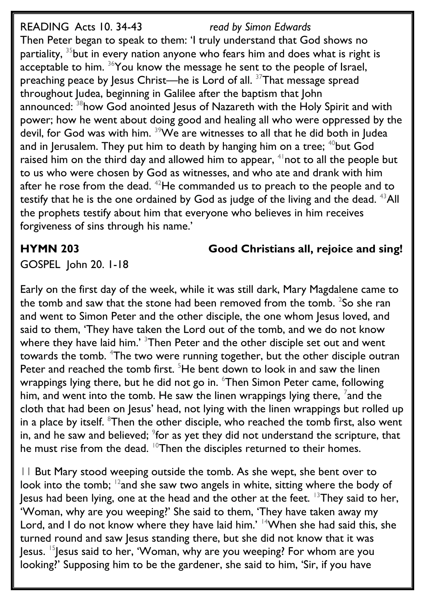READING Acts 10. 34-43 *read by Simon Edwards* Then Peter began to speak to them: 'I truly understand that God shows no partiality,  $35$  but in every nation anyone who fears him and does what is right is acceptable to him. <sup>36</sup>You know the message he sent to the people of Israel, preaching peace by Jesus Christ—he is Lord of all. <sup>37</sup>That message spread throughout Judea, beginning in Galilee after the baptism that John announced: <sup>38</sup>how God anointed Jesus of Nazareth with the Holy Spirit and with power; how he went about doing good and healing all who were oppressed by the devil, for God was with him. <sup>39</sup>We are witnesses to all that he did both in Judea and in Jerusalem. They put him to death by hanging him on a tree;  $40$  but God raised him on the third day and allowed him to appear,  $4\pi$  not to all the people but to us who were chosen by God as witnesses, and who ate and drank with him after he rose from the dead. <sup>42</sup>He commanded us to preach to the people and to testify that he is the one ordained by God as judge of the living and the dead.  $^{43}$ All the prophets testify about him that everyone who believes in him receives forgiveness of sins through his name.'

**HYMN 203 Good Christians all, rejoice and sing!**

GOSPEL John 20. 1-18

Early on the first day of the week, while it was still dark, Mary Magdalene came to the tomb and saw that the stone had been removed from the tomb.  $^{2}$ So she ran and went to Simon Peter and the other disciple, the one whom Jesus loved, and said to them, 'They have taken the Lord out of the tomb, and we do not know where they have laid him.' <sup>3</sup>Then Peter and the other disciple set out and went towards the tomb. <sup>4</sup>The two were running together, but the other disciple outran Peter and reached the tomb first.  $5$ He bent down to look in and saw the linen wrappings lying there, but he did not go in. <sup>6</sup>Then Simon Peter came, following him, and went into the tomb. He saw the linen wrappings lying there,  $^7$ and the cloth that had been on Jesus' head, not lying with the linen wrappings but rolled up in a place by itself. <sup>8</sup>Then the other disciple, who reached the tomb first, also went in, and he saw and believed;  $9$  for as yet they did not understand the scripture, that he must rise from the dead.  $10$ Then the disciples returned to their homes.

11 But Mary stood weeping outside the tomb. As she wept, she bent over to look into the tomb;  $^{12}$  and she saw two angels in white, sitting where the body of Jesus had been lying, one at the head and the other at the feet. <sup>13</sup>They said to her, 'Woman, why are you weeping?' She said to them, 'They have taken away my Lord, and I do not know where they have laid him.' <sup>14</sup>When she had said this, she turned round and saw Jesus standing there, but she did not know that it was  $\sim$  15 Jesus said to her, 'Woman, why are you weeping? For whom are you looking?' Supposing him to be the gardener, she said to him, 'Sir, if you have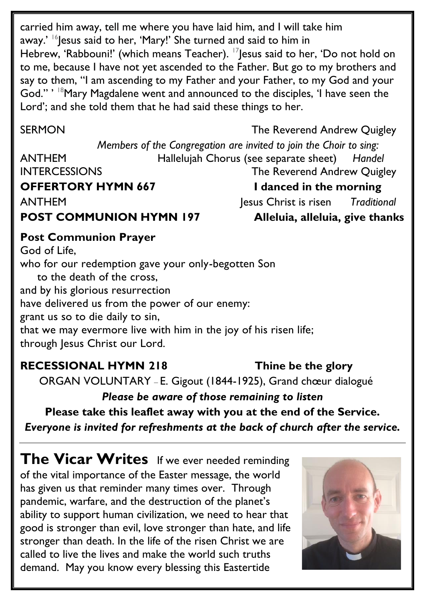carried him away, tell me where you have laid him, and I will take him away.' <sup>16</sup>Jesus said to her, 'Mary!' She turned and said to him in Hebrew, 'Rabbouni!' (which means Teacher). <sup>17</sup>Jesus said to her, 'Do not hold on to me, because I have not yet ascended to the Father. But go to my brothers and say to them, "I am ascending to my Father and your Father, to my God and your God." ' <sup>18</sup> Mary Magdalene went and announced to the disciples, 'I have seen the Lord'; and she told them that he had said these things to her.

SERMON GERMON The Reverend Andrew Quigley

*Members of the Congregation are invited to join the Choir to sing:*  ANTHEM Hallelujah Chorus (see separate sheet) *Handel* INTERCESSIONS The Reverend Andrew Quigley **OFFERTORY HYMN 667** I danced in the morning ANTHEMJesus Christ is risen *Traditional* **POST COMMUNION HYMN 197 Alleluia, alleluia, give thanks** 

**Post Communion Prayer** God of Life, who for our redemption gave your only-begotten Son to the death of the cross, and by his glorious resurrection have delivered us from the power of our enemy: grant us so to die daily to sin, that we may evermore live with him in the joy of his risen life; through Jesus Christ our Lord.

## **RECESSIONAL HYMN 218 Thine be the glory**

ORGAN VOLUNTARY – E. Gigout (1844-1925), Grand chœur dialogué

*Please be aware of those remaining to listen*

**Please take this leaflet away with you at the end of the Service.** 

*Everyone is invited for refreshments at the back of church after the service.*

**The Vicar Writes** If we ever needed reminding of the vital importance of the Easter message, the world has given us that reminder many times over. Through pandemic, warfare, and the destruction of the planet's ability to support human civilization, we need to hear that good is stronger than evil, love stronger than hate, and life stronger than death. In the life of the risen Christ we are called to live the lives and make the world such truths demand. May you know every blessing this Eastertide

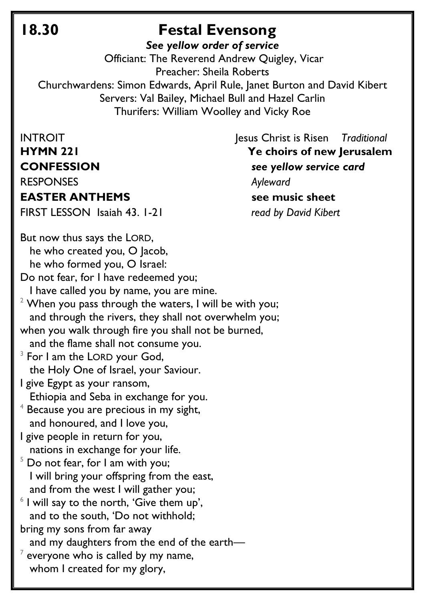## **18.30 Festal Evensong**

*See yellow order of service*

Officiant: The Reverend Andrew Quigley, Vicar Preacher: Sheila Roberts Churchwardens: Simon Edwards, April Rule, Janet Burton and David Kibert Servers: Val Bailey, Michael Bull and Hazel Carlin Thurifers: William Woolley and Vicky Roe

### **EASTER ANTHEMS** see music sheet

FIRST LESSON Isaiah 43. 1-21 *read by David Kibert*

INTROIT **INTROIT** *IESUS Christ is Risen Traditional* **HYMN 221 Ye choirs of new Jerusalem CONFESSION** *see yellow service card* RESPONSES *Ayleward*

But now thus says the LORD, he who created you, O Jacob, he who formed you, O Israel:

Do not fear, for I have redeemed you;

I have called you by name, you are mine.

 $2$  When you pass through the waters, I will be with you; and through the rivers, they shall not overwhelm you; when you walk through fire you shall not be burned,

and the flame shall not consume you.

 $3$  For I am the LORD your God, the Holy One of Israel, your Saviour.

I give Egypt as your ransom, Ethiopia and Seba in exchange for you.

- $4$  Because you are precious in my sight, and honoured, and I love you,
- I give people in return for you, nations in exchange for your life.
- $5$  Do not fear, for I am with you; I will bring your offspring from the east, and from the west I will gather you;
- $6$  I will say to the north, 'Give them up', and to the south, 'Do not withhold;

bring my sons from far away

and my daughters from the end of the earth—

 $^7$  everyone who is called by my name, whom I created for my glory,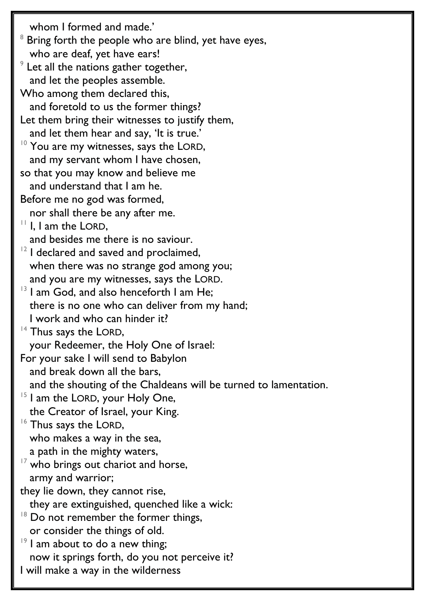whom I formed and made.'  $8$  Bring forth the people who are blind, yet have eyes, who are deaf, yet have ears!  $9$  Let all the nations gather together, and let the peoples assemble. Who among them declared this, and foretold to us the former things? Let them bring their witnesses to justify them, and let them hear and say, 'It is true.' <sup>10</sup> You are my witnesses, says the LORD, and my servant whom I have chosen, so that you may know and believe me and understand that I am he. Before me no god was formed, nor shall there be any after me.  $11$  I, I am the LORD, and besides me there is no saviour.  $12$  I declared and saved and proclaimed, when there was no strange god among you; and you are my witnesses, says the LORD. <sup>13</sup> I am God, and also henceforth I am He; there is no one who can deliver from my hand; I work and who can hinder it? <sup>14</sup> Thus says the LORD, your Redeemer, the Holy One of Israel: For your sake I will send to Babylon and break down all the bars, and the shouting of the Chaldeans will be turned to lamentation. <sup>15</sup> I am the LORD, your Holy One, the Creator of Israel, your King. <sup>16</sup> Thus says the LORD, who makes a way in the sea, a path in the mighty waters,  $17$  who brings out chariot and horse, army and warrior; they lie down, they cannot rise, they are extinguished, quenched like a wick:  $18$  Do not remember the former things, or consider the things of old.  $19$  I am about to do a new thing; now it springs forth, do you not perceive it? I will make a way in the wilderness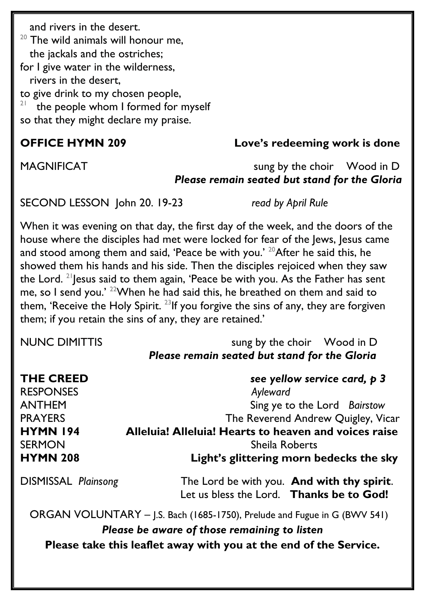and rivers in the desert.

 $20$  The wild animals will honour me, the jackals and the ostriches; for I give water in the wilderness, rivers in the desert, to give drink to my chosen people, 21 the people whom I formed for myself so that they might declare my praise.

### **OFFICE HYMN 209 Love's redeeming work is done**

### MAGNIFICAT sung by the choir Wood in D *Please remain seated but stand for the Gloria*

SECOND LESSON John 20. 19-23 *read by April Rule*

When it was evening on that day, the first day of the week, and the doors of the house where the disciples had met were locked for fear of the Jews, Jesus came and stood among them and said, 'Peace be with you.' <sup>20</sup>After he said this, he showed them his hands and his side. Then the disciples rejoiced when they saw the Lord. <sup>21</sup> lesus said to them again, 'Peace be with you. As the Father has sent me, so I send you.' <sup>22</sup>When he had said this, he breathed on them and said to them, 'Receive the Holy Spirit.<sup>23</sup>If you forgive the sins of any, they are forgiven them; if you retain the sins of any, they are retained.'

| NUNC DIMITTIS | sung by the choir Wood in D                          |  |
|---------------|------------------------------------------------------|--|
|               | <b>Please remain seated but stand for the Gloria</b> |  |

| <b>THE CREED</b>           | see yellow service card, p 3                                                           |  |
|----------------------------|----------------------------------------------------------------------------------------|--|
| <b>RESPONSES</b>           | Ayleward                                                                               |  |
| <b>ANTHEM</b>              | Sing ye to the Lord Bairstow                                                           |  |
| <b>PRAYERS</b>             | The Reverend Andrew Quigley, Vicar                                                     |  |
| <b>HYMN 194</b>            | Alleluia! Alleluia! Hearts to heaven and voices raise                                  |  |
| <b>SERMON</b>              | <b>Sheila Roberts</b>                                                                  |  |
| <b>HYMN 208</b>            | Light's glittering morn bedecks the sky                                                |  |
| <b>DISMISSAL Plainsong</b> | The Lord be with you. And with thy spirit.<br>Let us bless the Lord. Thanks be to God! |  |
|                            | ORGAN VOLUNTARY - J.S. Bach (1685-1750), Prelude and Fugue in G (BWV 541)              |  |

*Please be aware of those remaining to listen* **Please take this leaflet away with you at the end of the Service.**